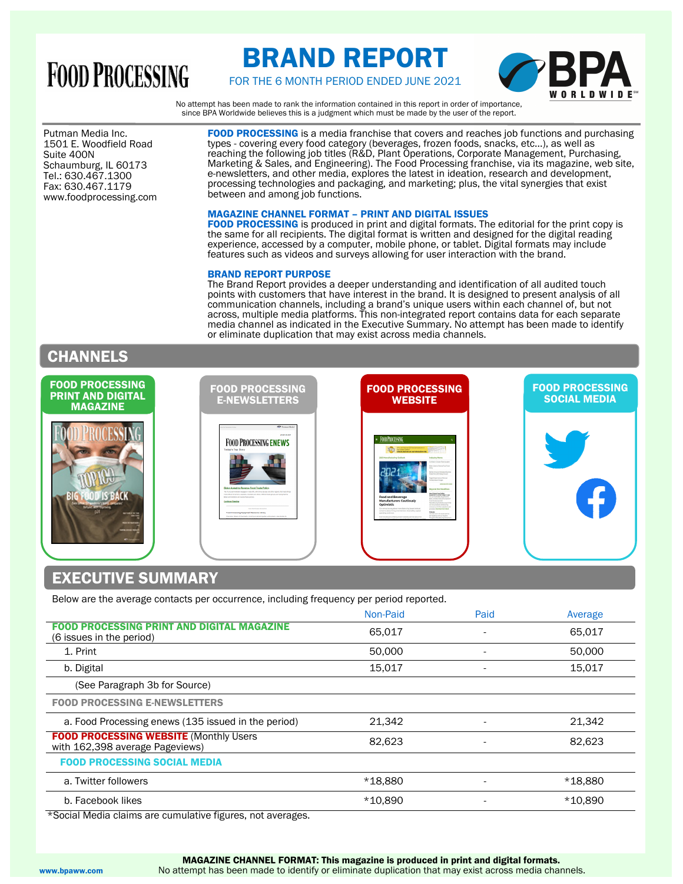# **FOOD PROCESSING**

# BRAND REPORT



FOR THE 6 MONTH PERIOD ENDED JUNE 2021

No attempt has been made to rank the information contained in this report in order of importance, since BPA Worldwide believes this is a judgment which must be made by the user of the report.

1501 E. Woodfield Road<br>Suite 400N Putman Media Inc. Suite 400N Schaumburg, IL 60173 Tel.: 630.467.1300 Fax: 630.467.1179 www.foodprocessing.com FOOD PROCESSING is a media franchise that covers and reaches job functions and purchasing types - covering every food category (beverages, frozen foods, snacks, etc...), as well as reaching the following job titles (R&D, Plant Operations, Corporate Management, Purchasing, Marketing & Sales, and Engineering). The Food Processing franchise, via its magazine, web site, e-newsletters, and other media, explores the latest in ideation, research and development, processing technologies and packaging, and marketing; plus, the vital synergies that exist between and among job functions.

### MAGAZINE CHANNEL FORMAT – PRINT AND DIGITAL ISSUES

FOOD PROCESSING is produced in print and digital formats. The editorial for the print copy is the same for all recipients. The digital format is written and designed for the digital reading experience, accessed by a computer, mobile phone, or tablet. Digital formats may include features such as videos and surveys allowing for user interaction with the brand.

#### BRAND REPORT PURPOSE

The Brand Report provides a deeper understanding and identification of all audited touch points with customers that have interest in the brand. It is designed to present analysis of all communication channels, including a brand's unique users within each channel of, but not across, multiple media platforms. This non-integrated report contains data for each separate media channel as indicated in the Executive Summary. No attempt has been made to identify or eliminate duplication that may exist across media channels.

## CHANNELS

| <b>FOOD PROCESSING</b><br><b>PRINT AND DIGITAL</b><br><b>MAGAZINE</b>          | <b>FOOD PROCESSING</b><br><b>E-NEWSLETTERS</b>                                                                                                                                                                                                                                                                                                                                                                                                                                                                                                                                                                             | <b>FOOD PROCESSING</b><br><b>WEBSITE</b>                                                                                                                                                                                                                                                                                                                                                                                                                                                                                                                                                                                                                                                                                                                                                                                                                                                                                                                                                                                                                                                      | <b>FOOD PROCESSING</b><br><b>SOCIAL MEDIA</b> |
|--------------------------------------------------------------------------------|----------------------------------------------------------------------------------------------------------------------------------------------------------------------------------------------------------------------------------------------------------------------------------------------------------------------------------------------------------------------------------------------------------------------------------------------------------------------------------------------------------------------------------------------------------------------------------------------------------------------------|-----------------------------------------------------------------------------------------------------------------------------------------------------------------------------------------------------------------------------------------------------------------------------------------------------------------------------------------------------------------------------------------------------------------------------------------------------------------------------------------------------------------------------------------------------------------------------------------------------------------------------------------------------------------------------------------------------------------------------------------------------------------------------------------------------------------------------------------------------------------------------------------------------------------------------------------------------------------------------------------------------------------------------------------------------------------------------------------------|-----------------------------------------------|
| <b><i><u>AFTAERING</u></i></b><br><b>Nicklass</b><br>----<br><b>STATISTICS</b> | Passachiolis<br><b>A Secondal Color</b><br>Jewelry 21, 2017<br><b>FOOD PROCESSING ENEWS</b><br>Today's Top Story<br><b>Biden Asked to Reverse Food Trade Policy</b><br>The Turk administration engaged in trade (th), with China, Burgas and other regions, frammed finings<br>men official for farmers, pointings, imparting and others. Officers that provide an any house that the<br>Boor administer will revolve three policies.<br>Continue Reading<br><b>CONTRACTOR</b> CONTRACTOR<br>Food Processing Equipment Resource Library<br>Dreifura, Dasnie if Element, Youtha in-dimensionalis, who soon, care dutie, for | FOOD PROCESSING<br>Check and see on our interactive list<br>3021 Manufacturing Outlook<br>Industry News<br>Data Crises Red Krister<br>in Asiat A Awara End Twie<br><b>Definition Manager Business</b><br>Free Rend State and<br>anar Dram Commun Hills may<br><b>Book Road Date:</b><br>with advertising<br><b>Beyond the Headlines</b><br>fire E-Book Food Safety<br><b>Baubment's Center Stops In 2021</b><br><b>Food and Beverage</b><br>in air field later, Equipment<br>Book on time a took of the results of<br><b>Manufacturers Cautiously</b><br>520 (primarily film)<br>fanufacturing Eutlopic purvey to find<br>Optimistic<br>Authors renewalk are furnished<br>promption interface sometime and<br>Our annual survey about manufacturing issues looks at<br>printers Dearlined the Library<br>concerns about hiring and retention, food safety capital<br><b>Bulletin</b><br>spending and more.<br>The future choice that thinks but lock<br>the headings with our Doubler<br>The dimension between and funding and maximum and model about their<br>Traum & Handy Kanada Tamarray | 41                                            |

## EXECUTIVE SUMMARY

Below are the average contacts per occurrence, including frequency per period reported.

|                                                                                   | Non-Paid | Paid                     | Average |
|-----------------------------------------------------------------------------------|----------|--------------------------|---------|
| <b>FOOD PROCESSING PRINT AND DIGITAL MAGAZINE</b><br>(6 issues in the period)     | 65,017   |                          | 65.017  |
| 1. Print                                                                          | 50,000   |                          | 50,000  |
| b. Digital                                                                        | 15,017   |                          | 15,017  |
| (See Paragraph 3b for Source)                                                     |          |                          |         |
| <b>FOOD PROCESSING E-NEWSLETTERS</b>                                              |          |                          |         |
| a. Food Processing enews (135 issued in the period)                               | 21,342   |                          | 21,342  |
| <b>FOOD PROCESSING WEBSITE (Monthly Users)</b><br>with 162,398 average Pageviews) | 82,623   | $\overline{\phantom{a}}$ | 82,623  |
| <b>FOOD PROCESSING SOCIAL MEDIA</b>                                               |          |                          |         |
| a. Twitter followers                                                              | *18,880  |                          | *18,880 |
| b. Facebook likes                                                                 | *10,890  |                          | *10.890 |

\*Social Media claims are cumulative figures, not averages.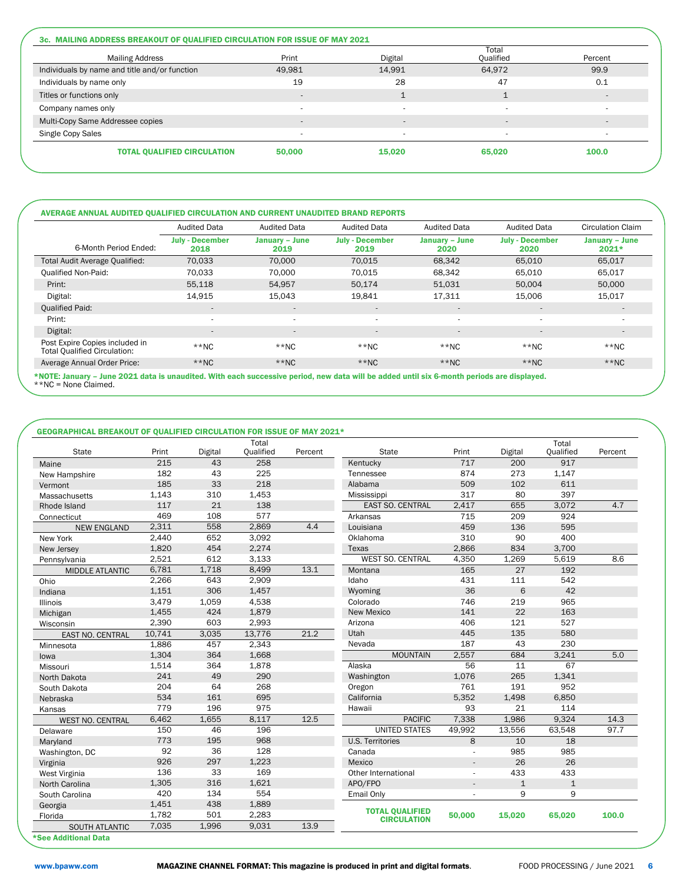|                                               | Total                    |                          |                          |         |  |
|-----------------------------------------------|--------------------------|--------------------------|--------------------------|---------|--|
| <b>Mailing Address</b>                        | Print                    | Digital                  | Qualified                | Percent |  |
| Individuals by name and title and/or function | 49,981                   | 14,991                   | 64,972                   | 99.9    |  |
| Individuals by name only                      | 19                       | 28                       | 47                       | 0.1     |  |
| Titles or functions only                      | $\sim$                   | $\mathbf{A}$             |                          |         |  |
| Company names only                            |                          | $\overline{\phantom{a}}$ | $\overline{\phantom{a}}$ |         |  |
| Multi-Copy Same Addressee copies              | $\overline{\phantom{a}}$ | $\overline{a}$           |                          |         |  |
| Single Copy Sales                             |                          | $\overline{\phantom{a}}$ |                          |         |  |
| <b>TOTAL QUALIFIED CIRCULATION</b>            | 50,000                   | 15,020                   | 65.020                   | 100.0   |  |

|                                                                       | <b>Audited Data</b>            | <b>Audited Data</b>      | <b>Audited Data</b>            | <b>Audited Data</b>           | <b>Audited Data</b>            | <b>Circulation Claim</b>  |
|-----------------------------------------------------------------------|--------------------------------|--------------------------|--------------------------------|-------------------------------|--------------------------------|---------------------------|
| 6-Month Period Ended:                                                 | <b>July - December</b><br>2018 | January - June<br>2019   | <b>July - December</b><br>2019 | <b>January - June</b><br>2020 | <b>July - December</b><br>2020 | January - June<br>$2021*$ |
| Total Audit Average Qualified:                                        | 70,033                         | 70,000                   | 70.015                         | 68,342                        | 65,010                         | 65,017                    |
| <b>Qualified Non-Paid:</b>                                            | 70.033                         | 70.000                   | 70.015                         | 68.342                        | 65.010                         | 65,017                    |
| Print:                                                                | 55,118                         | 54.957                   | 50,174                         | 51,031                        | 50,004                         | 50,000                    |
| Digital:                                                              | 14.915                         | 15.043                   | 19.841                         | 17.311                        | 15,006                         | 15,017                    |
| <b>Qualified Paid:</b>                                                | $\overline{a}$                 | $\sim$                   | $\overline{\phantom{a}}$       | $\sim$                        | $\overline{\phantom{a}}$       | $\overline{\phantom{a}}$  |
| Print:                                                                |                                | $\sim$                   | $\overline{\phantom{a}}$       | . .                           | $\overline{\phantom{a}}$       | $\sim$                    |
| Digital:                                                              | $\overline{\phantom{a}}$       | $\overline{\phantom{a}}$ | $\overline{\phantom{a}}$       | $\overline{\phantom{a}}$      | $\overline{\phantom{a}}$       | $\overline{\phantom{a}}$  |
| Post Expire Copies included in<br><b>Total Qualified Circulation:</b> | $*$ NC                         | $**NC$                   | $*$ NC                         | $**NC$                        | $*$ NC                         | $**NC$                    |
| Average Annual Order Price:                                           | $**NC$                         | $**NC$                   | $**NC$                         | $*$ NC                        | $**NC$                         | $**NC$                    |

\*NOTE: January – June 2021 data is unaudited. With each successive period, new data will be added until six 6-month periods are displayed. \*\*NC = None Claimed.

### GEOGRAPHICAL BREAKOUT OF QUALIFIED CIRCULATION FOR ISSUE OF MAY 2021\*

| <b>State</b>            | Print  | Digital | Total<br><b>Qualified</b> | Percent | <b>State</b>            | Print          | Digital      | Total<br><b>Qualified</b> | Percent |
|-------------------------|--------|---------|---------------------------|---------|-------------------------|----------------|--------------|---------------------------|---------|
| Maine                   | 215    | 43      | 258                       |         | Kentucky                | 717            | 200          | 917                       |         |
| New Hampshire           | 182    | 43      | 225                       |         | Tennessee               | 874            | 273          | 1,147                     |         |
| Vermont                 | 185    | 33      | 218                       |         | Alabama                 | 509            | 102          | 611                       |         |
| Massachusetts           | 1,143  | 310     | 1,453                     |         | Mississippi             | 317            | 80           | 397                       |         |
| Rhode Island            | 117    | 21      | 138                       |         | <b>EAST SO. CENTRAL</b> | 2,417          | 655          | 3.072                     | 4.7     |
| Connecticut             | 469    | 108     | 577                       |         | Arkansas                | 715            | 209          | 924                       |         |
| <b>NEW ENGLAND</b>      | 2,311  | 558     | 2,869                     | 4.4     | Louisiana               | 459            | 136          | 595                       |         |
| New York                | 2,440  | 652     | 3,092                     |         | Oklahoma                | 310            | 90           | 400                       |         |
| New Jersey              | 1,820  | 454     | 2,274                     |         | Texas                   | 2,866          | 834          | 3,700                     |         |
| Pennsvlvania            | 2,521  | 612     | 3,133                     |         | <b>WEST SO. CENTRAL</b> | 4,350          | 1,269        | 5,619                     | 8.6     |
| MIDDLE ATLANTIC         | 6,781  | 1,718   | 8,499                     | 13.1    | Montana                 | 165            | 27           | 192                       |         |
| Ohio                    | 2,266  | 643     | 2,909                     |         | Idaho                   | 431            | 111          | 542                       |         |
| Indiana                 | 1,151  | 306     | 1,457                     |         | Wyoming                 | 36             | 6            | 42                        |         |
| <b>Illinois</b>         | 3,479  | 1,059   | 4,538                     |         | Colorado                | 746            | 219          | 965                       |         |
| Michigan                | 1,455  | 424     | 1,879                     |         | New Mexico              | 141            | 22           | 163                       |         |
| Wisconsin               | 2,390  | 603     | 2,993                     |         | Arizona                 | 406            | 121          | 527                       |         |
| <b>EAST NO. CENTRAL</b> | 10,741 | 3,035   | 13,776                    | 21.2    | Utah                    | 445            | 135          | 580                       |         |
| Minnesota               | 1,886  | 457     | 2,343                     |         | Nevada                  | 187            | 43           | 230                       |         |
| lowa                    | 1,304  | 364     | 1,668                     |         | <b>MOUNTAIN</b>         | 2,557          | 684          | 3,241                     | 5.0     |
| Missouri                | 1,514  | 364     | 1,878                     |         | Alaska                  | 56             | 11           | 67                        |         |
| North Dakota            | 241    | 49      | 290                       |         | Washington              | 1,076          | 265          | 1,341                     |         |
| South Dakota            | 204    | 64      | 268                       |         | Oregon                  | 761            | 191          | 952                       |         |
| Nebraska                | 534    | 161     | 695                       |         | California              | 5,352          | 1,498        | 6,850                     |         |
| Kansas                  | 779    | 196     | 975                       |         | Hawaii                  | 93             | 21           | 114                       |         |
| <b>WEST NO. CENTRAL</b> | 6,462  | 1,655   | 8,117                     | 12.5    | <b>PACIFIC</b>          | 7,338          | 1,986        | 9,324                     | 14.3    |
| Delaware                | 150    | 46      | 196                       |         | <b>UNITED STATES</b>    | 49,992         | 13,556       | 63,548                    | 97.7    |
| Maryland                | 773    | 195     | 968                       |         | <b>U.S. Territories</b> | 8              | 10           | 18                        |         |
| Washington, DC          | 92     | 36      | 128                       |         | Canada                  |                | 985          | 985                       |         |
| Virginia                | 926    | 297     | 1,223                     |         | Mexico                  |                | 26           | 26                        |         |
| West Virginia           | 136    | 33      | 169                       |         | Other International     | ٠              | 433          | 433                       |         |
| North Carolina          | 1,305  | 316     | 1,621                     |         | APO/FPO                 | $\overline{a}$ | $\mathbf{1}$ | $\mathbf{1}$              |         |
| South Carolina          | 420    | 134     | 554                       |         | Email Only              | ÷.             | 9            | 9                         |         |
| Georgia                 | 1,451  | 438     | 1,889                     |         | <b>TOTAL QUALIFIED</b>  |                |              |                           |         |
| Florida                 | 1,782  | 501     | 2,283                     |         | <b>CIRCULATION</b>      | 50,000         | 15,020       | 65,020                    | 100.0   |
| <b>SOUTH ATLANTIC</b>   | 7,035  | 1,996   | 9,031                     | 13.9    |                         |                |              |                           |         |
| *See Additional Data    |        |         |                           |         |                         |                |              |                           |         |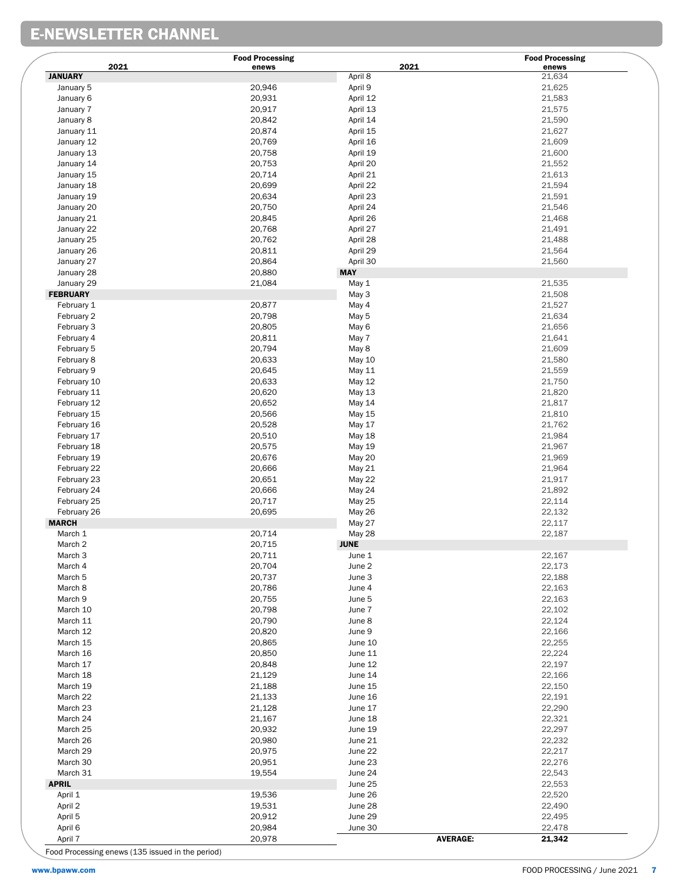# E-NEWSLETTER CHANNEL

|                    | <b>Food Processing</b><br>2021 | 2021           | <b>Food Processing</b>    |
|--------------------|--------------------------------|----------------|---------------------------|
| <b>JANUARY</b>     | enews                          | April 8        | enews<br>21,634           |
| January 5          | 20,946                         | April 9        | 21,625                    |
| January 6          | 20,931                         | April 12       | 21,583                    |
| January 7          | 20,917                         | April 13       | 21,575                    |
| January 8          | 20,842                         | April 14       | 21,590                    |
| January 11         | 20,874                         | April 15       | 21,627                    |
| January 12         | 20,769                         | April 16       | 21,609                    |
| January 13         | 20,758                         | April 19       | 21,600                    |
| January 14         | 20,753                         | April 20       | 21,552                    |
| January 15         | 20,714                         | April 21       | 21,613                    |
| January 18         | 20,699                         | April 22       | 21,594                    |
| January 19         | 20,634                         | April 23       | 21,591                    |
| January 20         | 20,750                         | April 24       | 21,546                    |
| January 21         | 20,845                         | April 26       | 21,468                    |
| January 22         | 20,768                         | April 27       | 21,491                    |
| January 25         | 20,762                         | April 28       | 21,488                    |
| January 26         | 20,811                         | April 29       | 21,564                    |
| January 27         | 20,864                         | April 30       | 21,560                    |
| January 28         | 20,880                         | <b>MAY</b>     |                           |
| January 29         | 21,084                         |                | 21,535                    |
| <b>FEBRUARY</b>    |                                | May 1<br>May 3 | 21,508                    |
|                    |                                |                |                           |
| February 1         | 20,877                         | May 4          | 21,527                    |
| February 2         | 20,798                         | May 5          | 21,634                    |
| February 3         | 20,805                         | May 6          | 21,656                    |
| February 4         | 20,811                         | May 7          | 21,641                    |
| February 5         | 20,794                         | May 8          | 21,609                    |
| February 8         | 20,633                         | May 10         | 21,580                    |
| February 9         | 20,645                         | May 11         | 21,559                    |
| February 10        | 20,633                         | May 12         | 21,750                    |
| February 11        | 20,620                         | May 13         | 21,820                    |
| February 12        | 20,652                         | May 14         | 21,817                    |
| February 15        | 20,566                         | May 15         | 21,810                    |
| February 16        | 20,528                         | May 17         | 21,762                    |
| February 17        | 20,510                         | May 18         | 21,984                    |
| February 18        | 20,575                         | May 19         | 21,967                    |
| February 19        | 20,676                         | May 20         | 21,969                    |
| February 22        | 20,666                         | May 21         | 21,964                    |
| February 23        | 20,651                         | May 22         | 21,917                    |
| February 24        | 20,666                         | May 24         | 21,892                    |
| February 25        | 20,717                         | May 25         | 22,114                    |
| February 26        | 20,695                         | May 26         | 22,132                    |
| <b>MARCH</b>       |                                | May 27         | 22,117                    |
| March 1            | 20,714                         | May 28         | 22,187                    |
| March 2            | 20,715                         | <b>JUNE</b>    |                           |
| March <sub>3</sub> | 20,711                         | June 1         | 22,167                    |
| March 4            | 20,704                         | June 2         | 22,173                    |
| March <sub>5</sub> | 20,737                         | June 3         | 22,188                    |
| March 8            | 20,786                         | June 4         | 22,163                    |
| March 9            | 20,755                         | June 5         | 22,163                    |
| March 10           | 20,798                         | June 7         | 22,102                    |
| March 11           | 20,790                         | June 8         | 22,124                    |
| March 12           | 20,820                         | June 9         | 22,166                    |
| March 15           | 20,865                         | June 10        | 22,255                    |
| March 16           | 20,850                         | June 11        | 22,224                    |
| March 17           | 20,848                         | June 12        | 22,197                    |
| March 18           | 21,129                         | June 14        | 22,166                    |
| March 19           | 21,188                         | June 15        | 22,150                    |
| March 22           | 21,133                         | June 16        | 22,191                    |
| March 23           | 21,128                         | June 17        | 22,290                    |
| March 24           | 21,167                         | June 18        | 22,321                    |
| March 25           | 20,932                         | June 19        | 22,297                    |
| March 26           | 20,980                         | June 21        | 22,232                    |
| March 29           | 20,975                         | June 22        | 22,217                    |
| March 30           | 20,951                         | June 23        | 22,276                    |
| March 31           | 19,554                         | June 24        | 22,543                    |
| <b>APRIL</b>       |                                | June 25        | 22,553                    |
| April 1            | 19,536                         | June 26        | 22,520                    |
| April 2            | 19,531                         | June 28        | 22,490                    |
| April 5            | 20,912                         | June 29        | 22,495                    |
| April 6            | 20,984                         | June 30        | 22,478                    |
| April 7            | 20,978                         |                | <b>AVERAGE:</b><br>21,342 |

Food Processing enews (135 issued in the period)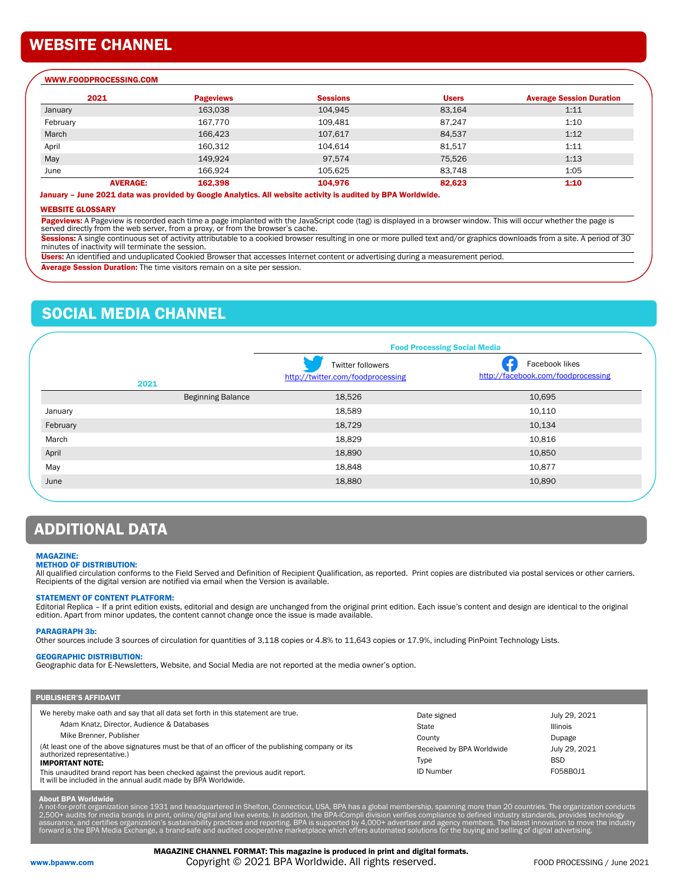## WEBSITE CHANNEL

#### WWW.FOODPROCESSING.COM

| 2021            | <b>Pageviews</b> | <b>Sessions</b> | <b>Users</b> | <b>Average Session Duration</b> |
|-----------------|------------------|-----------------|--------------|---------------------------------|
| January         | 163,038          | 104,945         | 83,164       | 1:11                            |
| February        | 167,770          | 109,481         | 87.247       | 1:10                            |
| March           | 166.423          | 107,617         | 84.537       | 1:12                            |
| April           | 160,312          | 104,614         | 81,517       | 1:11                            |
| May             | 149.924          | 97.574          | 75,526       | 1:13                            |
| June            | 166,924          | 105,625         | 83,748       | 1:05                            |
| <b>AVERAGE:</b> | 162,398          | 104,976         | 82,623       | 1:10                            |

#### January – June 2021 data was provided by Google Analytics. All website activity is audited by BPA Worldwide.

#### WEBSITE GLOSSARY

Pageviews: A Pageview is recorded each time a page implanted with the JavaScript code (tag) is displayed in a browser window. This will occur whether the page is served directly from the web server, from a proxy, or from the browser's cache.

Sessions: A single continuous set of activity attributable to a cookied browser resulting in one or more pulled text and/or graphics downloads from a site. A period of 30 minutes of inactivity will terminate the session.

Users: An identified and unduplicated Cookied Browser that accesses Internet content or advertising during a measurement period.

Average Session Duration: The time visitors remain on a site per session.

## SOCIAL MEDIA CHANNEL

|          |                          | <b>Food Processing Social Media</b>                    |                                                      |  |  |
|----------|--------------------------|--------------------------------------------------------|------------------------------------------------------|--|--|
|          | 2021                     | Twitter followers<br>http://twitter.com/foodprocessing | Facebook likes<br>http://facebook.com/foodprocessing |  |  |
|          | <b>Beginning Balance</b> | 18,526                                                 | 10,695                                               |  |  |
| January  |                          | 18,589                                                 | 10,110                                               |  |  |
| February |                          | 18,729                                                 | 10,134                                               |  |  |
| March    |                          | 18,829                                                 | 10,816                                               |  |  |
| April    |                          | 18,890                                                 | 10,850                                               |  |  |
| May      |                          | 18,848                                                 | 10,877                                               |  |  |
| June     |                          | 18,880                                                 | 10,890                                               |  |  |

## ADDITIONAL DATA

#### MAGAZINE:

#### METHOD OF DISTRIBUTION:

All qualified circulation conforms to the Field Served and Definition of Recipient Qualification, as reported. Print copies are distributed via postal services or other carriers. Recipients of the digital version are notified via email when the Version is available.

#### STATEMENT OF CONTENT PLATFORM:

Editorial Replica – If a print edition exists, editorial and design are unchanged from the original print edition. Each issue's content and design are identical to the original edition. Apart from minor updates, the content cannot change once the issue is made available.

#### PARAGRAPH 3b:

Other sources include 3 sources of circulation for quantities of 3,118 copies or 4.8% to 11,643 copies or 17.9%, including PinPoint Technology Lists.

### GEOGRAPHIC DISTRIBUTION:

Geographic data for E-Newsletters, Website, and Social Media are not reported at the media owner's option.

| <b>PUBLISHER'S AFFIDAVIT</b>                                                                                                                                                                                                                                                                                                                                                                                                                                                |                                                                                         |                                                                                       |  |
|-----------------------------------------------------------------------------------------------------------------------------------------------------------------------------------------------------------------------------------------------------------------------------------------------------------------------------------------------------------------------------------------------------------------------------------------------------------------------------|-----------------------------------------------------------------------------------------|---------------------------------------------------------------------------------------|--|
| We hereby make oath and say that all data set forth in this statement are true.<br>Adam Knatz, Director, Audience & Databases<br>Mike Brenner, Publisher<br>(At least one of the above signatures must be that of an officer of the publishing company or its<br>authorized representative.)<br><b>IMPORTANT NOTE:</b><br>This unaudited brand report has been checked against the previous audit report.<br>It will be included in the annual audit made by BPA Worldwide. | Date signed<br>State<br>County<br>Received by BPA Worldwide<br>Type<br><b>ID Number</b> | July 29, 2021<br><b>Illinois</b><br>Dupage<br>July 29, 2021<br><b>BSD</b><br>F058B0J1 |  |

**About BPA Worldwide**<br>A not-for-profit organization since 1931 and headquartered in Shelton, Connecticut, USA, BPA has a global membership, spanning more than 20 countries. The organization conducts<br>2,500+ audits for media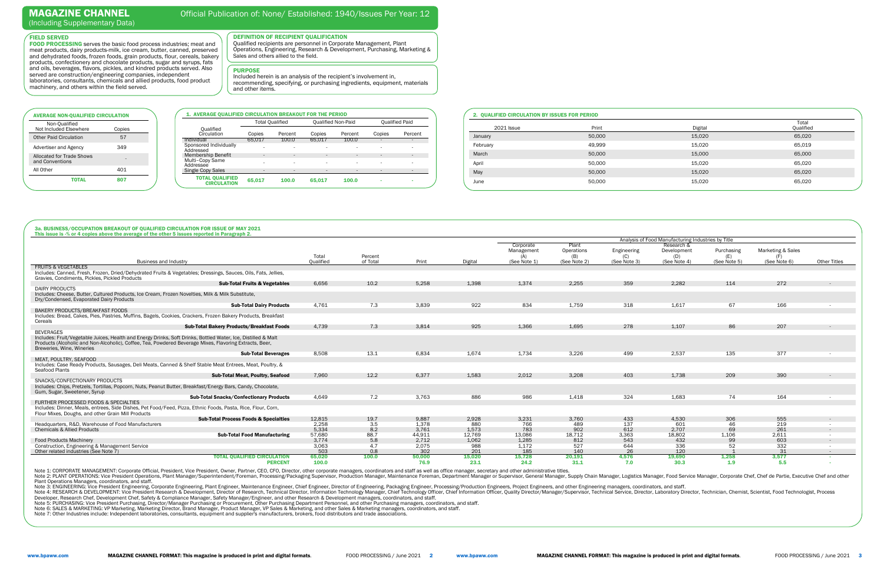| 1. AVERAGE QUALIFIED CIRCULATION BREAKOUT FOR THE PERIOD |                          |                          |        |                           |        |                       |
|----------------------------------------------------------|--------------------------|--------------------------|--------|---------------------------|--------|-----------------------|
|                                                          |                          | <b>Total Qualified</b>   |        | <b>Qualified Non-Paid</b> |        | <b>Qualified Paid</b> |
| Oualified<br>Circulation                                 | Copies                   | Percent                  | Copies | Percent                   | Copies | Percent               |
| Individual                                               | 65.017                   | 100.0                    | 65.017 | 100.0                     | ٠      |                       |
| Sponsored Individually<br>Addressed                      | ۰                        | $\overline{\phantom{a}}$ | ۰      |                           | ۰      |                       |
| <b>Membership Benefit</b>                                | ٠                        | $\overline{\phantom{a}}$ | ۰      | ٠                         | ٠      |                       |
| Multi-Copy Same<br>Addressee                             | $\overline{\phantom{a}}$ | $\overline{\phantom{a}}$ | ۰      | ۰                         | ۰      |                       |
| Single Copy Sales                                        | ۰                        | $\blacksquare$           | ۰      | $\overline{\phantom{a}}$  | -      |                       |
| <b>TOTAL QUALIFIED</b><br><b>CIRCULATION</b>             | 65,017                   | 100.0                    | 65.017 | 100.0                     | ۰      |                       |

FIELD SERVED

FOOD PROCESSING serves the basic food process industries; meat and meat products, dairy products-milk, ice cream, butter, canned, preserved and dehydrated foods, frozen foods, grain products, flour, cereals, bakery products, confectionery and chocolate products, sugar and syrups, fats and oils, beverages, flavors, pickles, and kindred products served. Also served are construction/engineering companies, independent laboratories, consultants, chemicals and allied products, food product

machinery, and others within the field served.

#### DEFINITION OF RECIPIENT QUALIFICATION

Qualified recipients are personnel in Corporate Management, Plant Operations, Engineering, Research & Development, Purchasing, Marketing & Sales and others allied to the field.

|  | 2. QUALIFIED CIRCULATION BY ISSUES FOR PERIOD |  |
|--|-----------------------------------------------|--|
|  |                                               |  |

| <b>2021 Issue</b> | Print  | Digital | Total<br>Qualified |
|-------------------|--------|---------|--------------------|
| January           | 50,000 | 15,020  | 65,020             |
| February          | 49,999 | 15,020  | 65,019             |
| March             | 50,000 | 15,000  | 65,000             |
| April             | 50,000 | 15,020  | 65,020             |
| May               | 50,000 | 15,020  | 65,020             |
| June              | 50,000 | 15,020  | 65,020             |

## MAGAZINE CHANNEL

## Official Publication of: None/ Established: 1940/Issues Per Year: 12

(Including Supplementary Data)

Note 2: PLANT OPERATIONS: Vice President Operations, Plant Manager/Superintendent/Foreman, Processing/Packaging Supervisor, Production Manager, Maintenance Foreman, Department Manager or Supervisor, General Manager, Supply Plant Operations Managers, coordinators, and staff.

Note 3: ENGINEERING: Vice President Engineering, Corporate Engineering, Plant Engineer, Maintenance Engineer, Chief Engineer, Director of Engineering, Packaging Engineer, Processing/Production Engineers, Project Engineerin

Note 6: SALES & MARKETING: VP Marketing, Marketing Director, Brand Manager, Product Manager, VP Sales & Marketing, and other Sales & Marketing managers, coordinators, and staff.

Note 7: Other Industries include: Independent laboratories, consultants, equipment and supplier's manufacturers, brokers, food distributors and trade associations

|                                                                                             |                                                                                                                                                                                                                          | Analysis of Food Manufacturing Industries by Title |                     |        |         |                                         |                                            |                                    |                                                  |                                   |                                   |                     |
|---------------------------------------------------------------------------------------------|--------------------------------------------------------------------------------------------------------------------------------------------------------------------------------------------------------------------------|----------------------------------------------------|---------------------|--------|---------|-----------------------------------------|--------------------------------------------|------------------------------------|--------------------------------------------------|-----------------------------------|-----------------------------------|---------------------|
|                                                                                             | <b>Business and Industry</b>                                                                                                                                                                                             | Total<br>Qualified                                 | Percent<br>of Total | Print  | Digital | Corporate<br>Management<br>(See Note 1) | Plant<br>Operations<br>(B)<br>(See Note 2) | Engineering<br>(C)<br>(See Note 3) | Research &<br>Development<br>(D)<br>(See Note 4) | Purchasing<br>(E)<br>(See Note 5) | Marketing & Sales<br>(See Note 6) | <b>Other Titles</b> |
| <b>FRUITS &amp; VEGETABLES</b>                                                              |                                                                                                                                                                                                                          |                                                    |                     |        |         |                                         |                                            |                                    |                                                  |                                   |                                   |                     |
| Gravies, Condiments, Pickles, Pickled Products                                              | Includes: Canned, Fresh, Frozen, Dried/Dehydrated Fruits & Vegetables; Dressings, Sauces, Oils, Fats, Jellies,                                                                                                           |                                                    |                     |        |         |                                         |                                            |                                    |                                                  |                                   |                                   |                     |
|                                                                                             | <b>Sub-Total Fruits &amp; Vegetables</b>                                                                                                                                                                                 | 6,656                                              | 10.2                | 5,258  | 1,398   | 1,374                                   | 2,255                                      | 359                                | 2,282                                            | 114                               | 272                               |                     |
| <b>DAIRY PRODUCTS</b>                                                                       |                                                                                                                                                                                                                          |                                                    |                     |        |         |                                         |                                            |                                    |                                                  |                                   |                                   |                     |
| Dry/Condensed, Evaporated Dairy Products                                                    | Includes: Cheese, Butter, Cultured Products, Ice Cream, Frozen Novelties, Milk & Milk Substitute,                                                                                                                        |                                                    |                     |        |         |                                         |                                            |                                    |                                                  |                                   |                                   |                     |
|                                                                                             | <b>Sub-Total Dairy Products</b>                                                                                                                                                                                          | 4,761                                              | 7.3                 | 3,839  | 922     | 834                                     | 1,759                                      | 318                                | 1,617                                            | 67                                | 166                               |                     |
| BAKERY PRODUCTS/BREAKFAST FOODS                                                             |                                                                                                                                                                                                                          |                                                    |                     |        |         |                                         |                                            |                                    |                                                  |                                   |                                   |                     |
| Cereals                                                                                     | Includes: Bread, Cakes, Pies, Pastries, Muffins, Bagels, Cookies, Crackers, Frozen Bakery Products, Breakfast                                                                                                            |                                                    |                     |        |         |                                         |                                            |                                    |                                                  |                                   |                                   |                     |
|                                                                                             | <b>Sub-Total Bakery Products/Breakfast Foods</b>                                                                                                                                                                         | 4,739                                              | 7.3                 | 3.814  | 925     | 1,366                                   | 1.695                                      | 278                                | 1,107                                            | 86                                | 207                               |                     |
| <b>BEVERAGES</b>                                                                            |                                                                                                                                                                                                                          |                                                    |                     |        |         |                                         |                                            |                                    |                                                  |                                   |                                   |                     |
| Breweries, Wine, Wineries                                                                   | Includes: Fruit/Vegetable Juices, Health and Energy Drinks, Soft Drinks, Bottled Water, Ice, Distilled & Malt<br>Products (Alcoholic and Non-Alcoholic), Coffee, Tea, Powdered Beverage Mixes, Flavoring Extracts, Beer, |                                                    |                     |        |         |                                         |                                            |                                    |                                                  |                                   |                                   |                     |
|                                                                                             | <b>Sub-Total Beverages</b>                                                                                                                                                                                               | 8,508                                              | 13.1                | 6.834  | 1,674   | 1,734                                   | 3,226                                      | 499                                | 2,537                                            | 135                               | 377                               |                     |
| MEAT. POULTRY. SEAFOOD                                                                      |                                                                                                                                                                                                                          |                                                    |                     |        |         |                                         |                                            |                                    |                                                  |                                   |                                   |                     |
| Seafood Plants                                                                              | Includes: Case Ready Products, Sausages, Deli Meats, Canned & Shelf Stable Meat Entrees, Meat, Poultry, &                                                                                                                |                                                    |                     |        |         |                                         |                                            |                                    |                                                  |                                   |                                   |                     |
|                                                                                             | <b>Sub-Total Meat, Poultry, Seafood</b>                                                                                                                                                                                  | 7,960                                              | 12.2                | 6,377  | 1,583   | 2,012                                   | 3,208                                      | 403                                | 1,738                                            | 209                               | 390                               |                     |
| SNACKS/CONFECTIONARY PRODUCTS<br>Gum, Sugar, Sweetener, Syrup                               | Includes: Chips, Pretzels, Tortillas, Popcorn, Nuts, Peanut Butter, Breakfast/Energy Bars, Candy, Chocolate,                                                                                                             |                                                    |                     |        |         |                                         |                                            |                                    |                                                  |                                   |                                   |                     |
|                                                                                             | <b>Sub-Total Snacks/Confectionary Products</b>                                                                                                                                                                           | 4.649                                              | 7.2                 | 3.763  | 886     | 986                                     | 1.418                                      | 324                                | 1,683                                            | 74                                | 164                               |                     |
| FURTHER PROCESSED FOODS & SPECIALTIES<br>Flour Mixes, Doughs, and other Grain Mill Products | Includes: Dinner, Meals, entrees, Side Dishes, Pet Food/Feed, Pizza, Ethnic Foods, Pasta, Rice, Flour, Corn,                                                                                                             |                                                    |                     |        |         |                                         |                                            |                                    |                                                  |                                   |                                   |                     |
|                                                                                             | <b>Sub-Total Process Foods &amp; Specialties</b>                                                                                                                                                                         | 12,815                                             | 19.7                | 9,887  | 2,928   | 3,231                                   | 3,760                                      | 433                                | 4,530                                            | 306                               | 555                               | $\sim$              |
| Headquarters, R&D, Warehouse of Food Manufacturers                                          |                                                                                                                                                                                                                          | 2,258                                              | 3.5                 | 1,378  | 880     | 766                                     | 489                                        | 137                                | 601                                              | 46                                | 219                               |                     |
| <b>Chemicals &amp; Allied Products</b>                                                      |                                                                                                                                                                                                                          | 5,334                                              | 8.2                 | 3,761  | 1,573   | 783                                     | 902                                        | 612                                | 2,707                                            | 69                                | 261                               |                     |
|                                                                                             | <b>Sub-Total Food Manufacturing</b>                                                                                                                                                                                      | 57,680                                             | 88.7                | 44.911 | 12,769  | 13,086                                  | 18,712                                     | 3,363                              | 18,802                                           | 1,106                             | 2,611                             |                     |
| <b>Food Products Machinery</b>                                                              |                                                                                                                                                                                                                          | 3.774                                              | 5.8                 | 2,712  | 1,062   | 1,285                                   | 812                                        | 543                                | 432                                              | 99                                | 603                               |                     |
| Construction, Engineering & Management Service                                              |                                                                                                                                                                                                                          | 3,063                                              | 4.7                 | 2,075  | 988     | 1,172                                   | 527                                        | 644                                | 336                                              | 52                                | 332                               |                     |
| Other related industries (See Note 7)                                                       |                                                                                                                                                                                                                          | 503                                                | 0.8                 | 302    | 201     | 185                                     | 140                                        | 26                                 | 120                                              |                                   | 31                                | $\sim$              |
|                                                                                             | <b>TOTAL OUALIFIED CIRCULATION</b>                                                                                                                                                                                       | 65,020                                             | 100.0               | 50,000 | 15,020  | 15,728                                  | 20,191                                     | 4,576                              | 19,690                                           | 1,258                             | 3,577                             |                     |
|                                                                                             | <b>PERCENT</b>                                                                                                                                                                                                           | 100.0                                              |                     | 76.9   | 23.1    | 24.2                                    | 31.1                                       | 7.0                                | 30.3                                             | 1.9                               | 5.5                               |                     |

Note 1: CORPORATE MANAGEMENT: Corporate Official, President, Vice President, Owner, Partner, CEO, CFO, Director, other corporate managers, coordinators and staff as well as office manager, secretary and other administrativ

#### PURPOSE

 Included herein is an analysis of the recipient's involvement in, recommending, specifying, or purchasing ingredients, equipment, materials and other items.

| <b>AVERAGE NON-QUALIFIED CIRCULATION</b>            |        |
|-----------------------------------------------------|--------|
| Non-Qualified<br>Not Included Elsewhere             | Copies |
| <b>Other Paid Circulation</b>                       | 57     |
| Advertiser and Agency                               | 349    |
| <b>Allocated for Trade Shows</b><br>and Conventions |        |
| All Other                                           | 401    |
| ΤΩΤΑΙ                                               | 807    |
|                                                     |        |